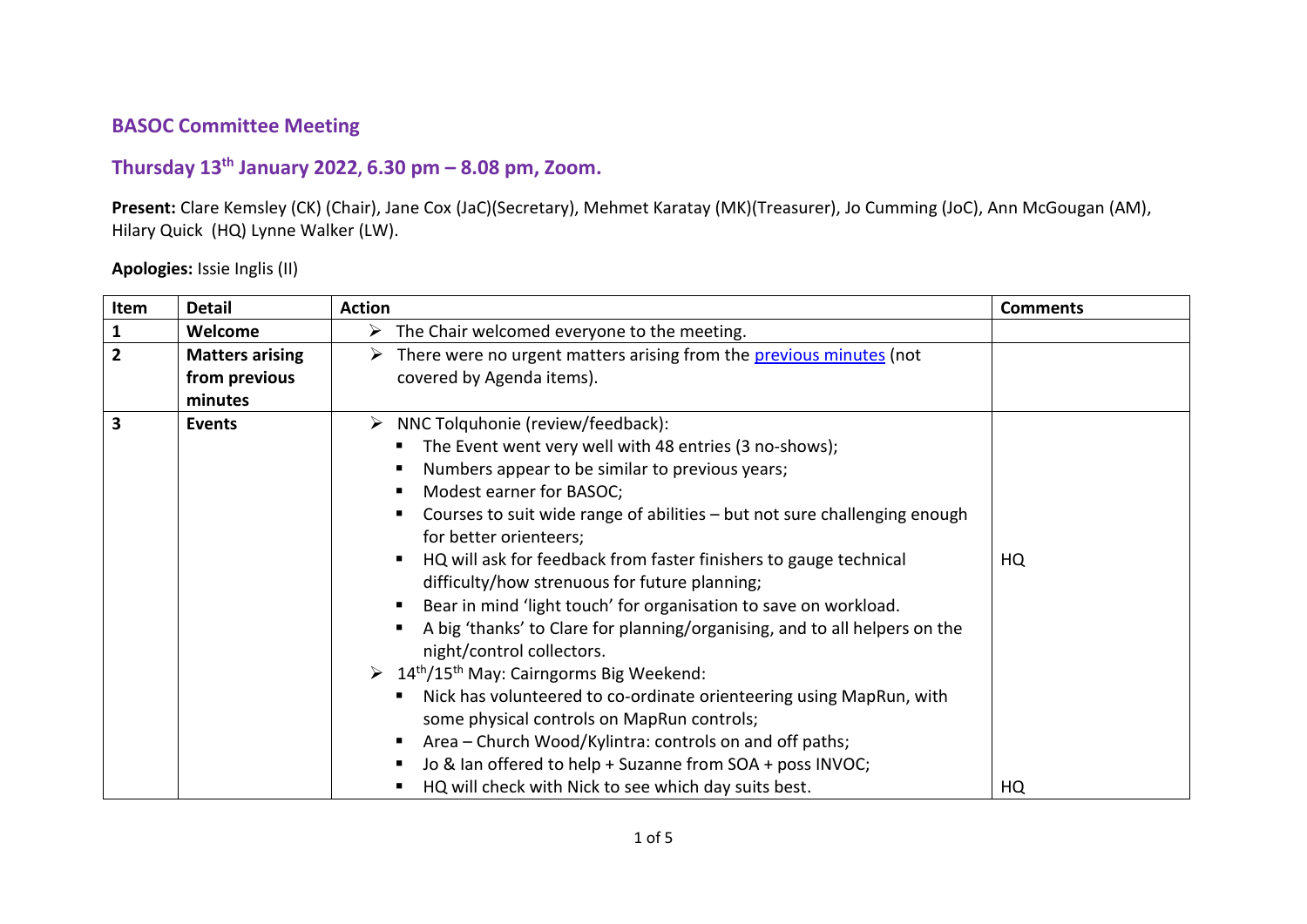## **BASOC Committee Meeting**

## **Thursday 13th January 2022, 6.30 pm – 8.08 pm, Zoom.**

**Present:** Clare Kemsley (CK) (Chair), Jane Cox (JaC)(Secretary), Mehmet Karatay (MK)(Treasurer), Jo Cumming (JoC), Ann McGougan (AM), Hilary Quick (HQ) Lynne Walker (LW).

## **Apologies:** Issie Inglis (II)

| Item           | <b>Detail</b>                                                                                                                                                                                                                                                                                                                                                                                                                   | <b>Action</b>                                                                         | <b>Comments</b> |
|----------------|---------------------------------------------------------------------------------------------------------------------------------------------------------------------------------------------------------------------------------------------------------------------------------------------------------------------------------------------------------------------------------------------------------------------------------|---------------------------------------------------------------------------------------|-----------------|
| 1              | Welcome                                                                                                                                                                                                                                                                                                                                                                                                                         | $\triangleright$ The Chair welcomed everyone to the meeting.                          |                 |
| $\overline{2}$ | <b>Matters arising</b>                                                                                                                                                                                                                                                                                                                                                                                                          | > There were no urgent matters arising from the previous minutes (not                 |                 |
|                | from previous                                                                                                                                                                                                                                                                                                                                                                                                                   | covered by Agenda items).                                                             |                 |
|                | minutes                                                                                                                                                                                                                                                                                                                                                                                                                         |                                                                                       |                 |
| 3              | Events                                                                                                                                                                                                                                                                                                                                                                                                                          | $\triangleright$ NNC Tolquhonie (review/feedback):                                    |                 |
|                | The Event went very well with 48 entries (3 no-shows);<br>Numbers appear to be similar to previous years;<br>п                                                                                                                                                                                                                                                                                                                  |                                                                                       |                 |
|                |                                                                                                                                                                                                                                                                                                                                                                                                                                 |                                                                                       |                 |
|                |                                                                                                                                                                                                                                                                                                                                                                                                                                 | Modest earner for BASOC;<br>п.                                                        |                 |
|                | Courses to suit wide range of abilities - but not sure challenging enough                                                                                                                                                                                                                                                                                                                                                       |                                                                                       |                 |
|                |                                                                                                                                                                                                                                                                                                                                                                                                                                 | for better orienteers;                                                                |                 |
|                | HQ will ask for feedback from faster finishers to gauge technical<br>$\blacksquare$<br>difficulty/how strenuous for future planning;<br>Bear in mind 'light touch' for organisation to save on workload.<br>п.<br>A big 'thanks' to Clare for planning/organising, and to all helpers on the<br>$\blacksquare$<br>night/control collectors.<br>$\triangleright$ 14 <sup>th</sup> /15 <sup>th</sup> May: Cairngorms Big Weekend: |                                                                                       | HQ              |
|                |                                                                                                                                                                                                                                                                                                                                                                                                                                 |                                                                                       |                 |
|                |                                                                                                                                                                                                                                                                                                                                                                                                                                 |                                                                                       |                 |
|                |                                                                                                                                                                                                                                                                                                                                                                                                                                 |                                                                                       |                 |
|                |                                                                                                                                                                                                                                                                                                                                                                                                                                 |                                                                                       |                 |
|                |                                                                                                                                                                                                                                                                                                                                                                                                                                 | Nick has volunteered to co-ordinate orienteering using MapRun, with<br>$\blacksquare$ |                 |
|                |                                                                                                                                                                                                                                                                                                                                                                                                                                 | some physical controls on MapRun controls;                                            |                 |
|                |                                                                                                                                                                                                                                                                                                                                                                                                                                 | Area – Church Wood/Kylintra: controls on and off paths;<br>п.                         |                 |
|                |                                                                                                                                                                                                                                                                                                                                                                                                                                 | Jo & Ian offered to help + Suzanne from SOA + poss INVOC;<br>п.                       |                 |
|                |                                                                                                                                                                                                                                                                                                                                                                                                                                 | HQ will check with Nick to see which day suits best.<br>٠                             | HQ              |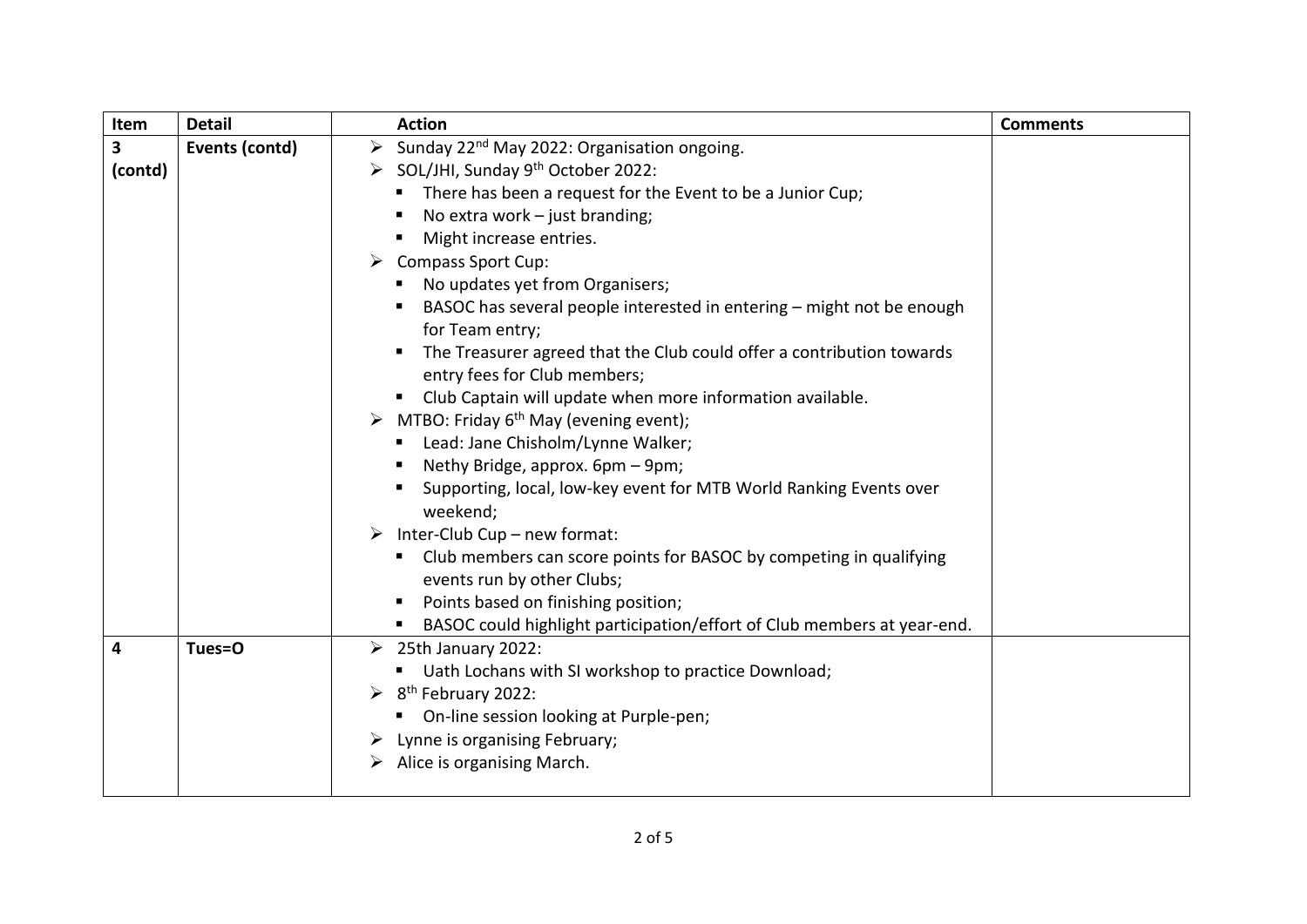| Item    | <b>Detail</b>                                       | <b>Action</b>                                                                                         | <b>Comments</b> |
|---------|-----------------------------------------------------|-------------------------------------------------------------------------------------------------------|-----------------|
| 3       | Events (contd)                                      | Sunday 22 <sup>nd</sup> May 2022: Organisation ongoing.<br>$\blacktriangleright$                      |                 |
| (contd) | > SOL/JHI, Sunday 9 <sup>th</sup> October 2022:     |                                                                                                       |                 |
|         |                                                     | There has been a request for the Event to be a Junior Cup;                                            |                 |
|         |                                                     | No extra work $-$ just branding;                                                                      |                 |
|         |                                                     | Might increase entries.                                                                               |                 |
|         |                                                     | $\triangleright$ Compass Sport Cup:                                                                   |                 |
|         |                                                     | " No updates yet from Organisers;                                                                     |                 |
|         |                                                     | BASOC has several people interested in entering - might not be enough                                 |                 |
|         |                                                     | for Team entry;                                                                                       |                 |
|         |                                                     | The Treasurer agreed that the Club could offer a contribution towards<br>entry fees for Club members; |                 |
|         |                                                     | Club Captain will update when more information available.                                             |                 |
|         |                                                     | MTBO: Friday 6 <sup>th</sup> May (evening event);<br>➤                                                |                 |
|         |                                                     | Lead: Jane Chisholm/Lynne Walker;                                                                     |                 |
|         |                                                     | Nethy Bridge, approx. 6pm - 9pm;                                                                      |                 |
|         |                                                     | Supporting, local, low-key event for MTB World Ranking Events over                                    |                 |
|         |                                                     | weekend;                                                                                              |                 |
|         |                                                     | Inter-Club Cup - new format:                                                                          |                 |
|         |                                                     | " Club members can score points for BASOC by competing in qualifying<br>events run by other Clubs;    |                 |
|         |                                                     | Points based on finishing position;<br>$\blacksquare$                                                 |                 |
|         |                                                     | BASOC could highlight participation/effort of Club members at year-end.                               |                 |
| 4       | Tues=O                                              | $\geq$ 25th January 2022:                                                                             |                 |
|         | Uath Lochans with SI workshop to practice Download; |                                                                                                       |                 |
|         |                                                     | $\triangleright$ 8 <sup>th</sup> February 2022:                                                       |                 |
|         |                                                     | On-line session looking at Purple-pen;<br>п.                                                          |                 |
|         |                                                     | $\triangleright$ Lynne is organising February;                                                        |                 |
|         |                                                     | Alice is organising March.                                                                            |                 |
|         |                                                     |                                                                                                       |                 |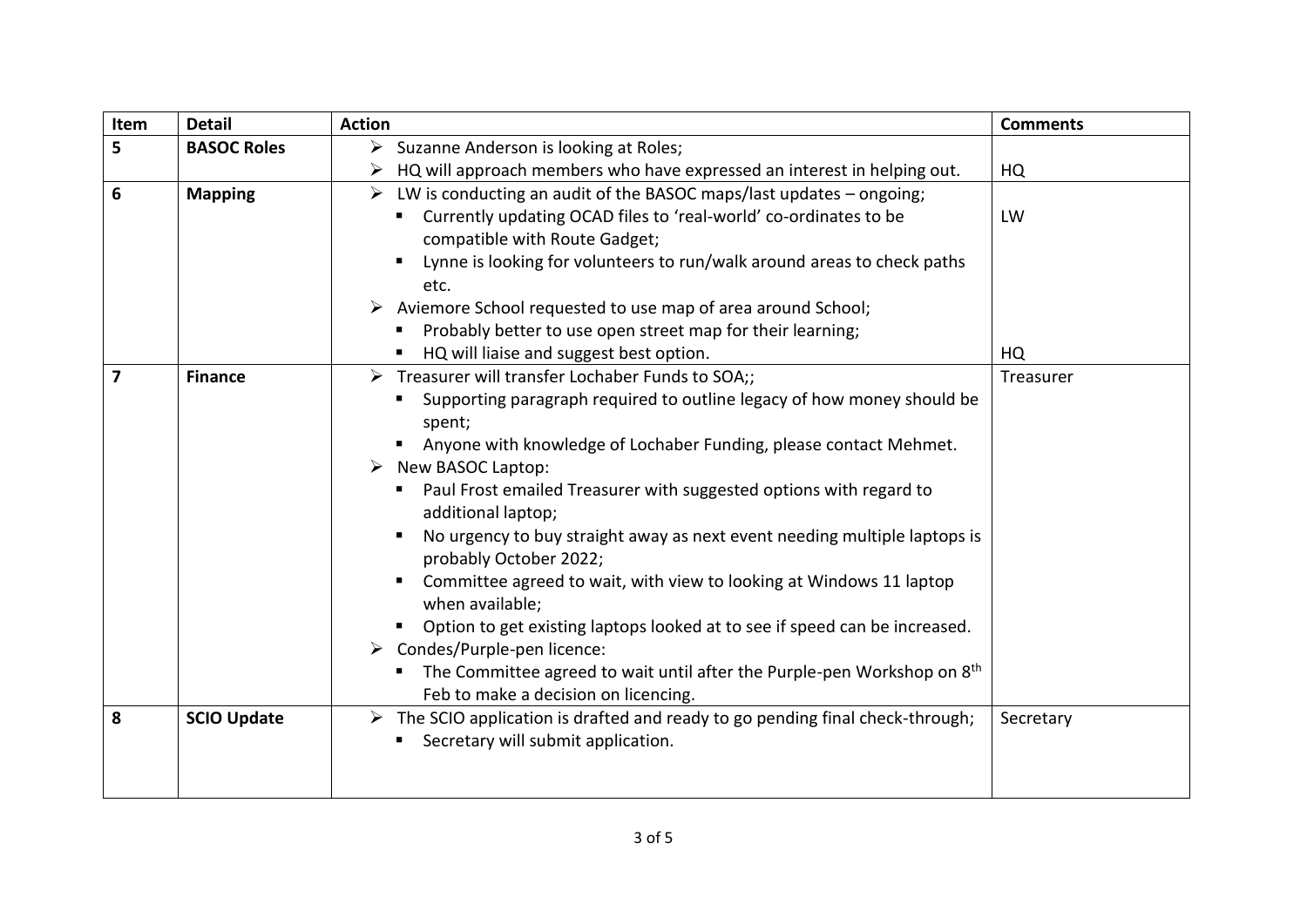| Item           | <b>Detail</b>                                                                | <b>Action</b>                                                                                                                                                                                                                                                                                                                                                                                                                                                                                                                                                                                                                                                                                                                                                                                                                              | <b>Comments</b> |
|----------------|------------------------------------------------------------------------------|--------------------------------------------------------------------------------------------------------------------------------------------------------------------------------------------------------------------------------------------------------------------------------------------------------------------------------------------------------------------------------------------------------------------------------------------------------------------------------------------------------------------------------------------------------------------------------------------------------------------------------------------------------------------------------------------------------------------------------------------------------------------------------------------------------------------------------------------|-----------------|
| 5              | $\triangleright$ Suzanne Anderson is looking at Roles;<br><b>BASOC Roles</b> |                                                                                                                                                                                                                                                                                                                                                                                                                                                                                                                                                                                                                                                                                                                                                                                                                                            |                 |
|                |                                                                              | HQ will approach members who have expressed an interest in helping out.<br>➤                                                                                                                                                                                                                                                                                                                                                                                                                                                                                                                                                                                                                                                                                                                                                               | HQ              |
| 6              | <b>Mapping</b>                                                               | $\triangleright$ LW is conducting an audit of the BASOC maps/last updates – ongoing;<br>" Currently updating OCAD files to 'real-world' co-ordinates to be<br>compatible with Route Gadget;<br>Lynne is looking for volunteers to run/walk around areas to check paths<br>$\blacksquare$<br>etc.<br>Aviemore School requested to use map of area around School;<br>Probably better to use open street map for their learning;                                                                                                                                                                                                                                                                                                                                                                                                              | LW              |
|                |                                                                              | HQ will liaise and suggest best option.<br>п                                                                                                                                                                                                                                                                                                                                                                                                                                                                                                                                                                                                                                                                                                                                                                                               | HQ              |
| $\overline{7}$ | <b>Finance</b>                                                               | $\triangleright$ Treasurer will transfer Lochaber Funds to SOA;;<br>Supporting paragraph required to outline legacy of how money should be<br>spent;<br>Anyone with knowledge of Lochaber Funding, please contact Mehmet.<br>$\triangleright$ New BASOC Laptop:<br>Paul Frost emailed Treasurer with suggested options with regard to<br>additional laptop;<br>No urgency to buy straight away as next event needing multiple laptops is<br>probably October 2022;<br>Committee agreed to wait, with view to looking at Windows 11 laptop<br>$\blacksquare$<br>when available;<br>Option to get existing laptops looked at to see if speed can be increased.<br>$\triangleright$ Condes/Purple-pen licence:<br>The Committee agreed to wait until after the Purple-pen Workshop on 8 <sup>th</sup><br>Feb to make a decision on licencing. | Treasurer       |
| 8              | <b>SCIO Update</b>                                                           | $\triangleright$ The SCIO application is drafted and ready to go pending final check-through;<br>" Secretary will submit application.                                                                                                                                                                                                                                                                                                                                                                                                                                                                                                                                                                                                                                                                                                      | Secretary       |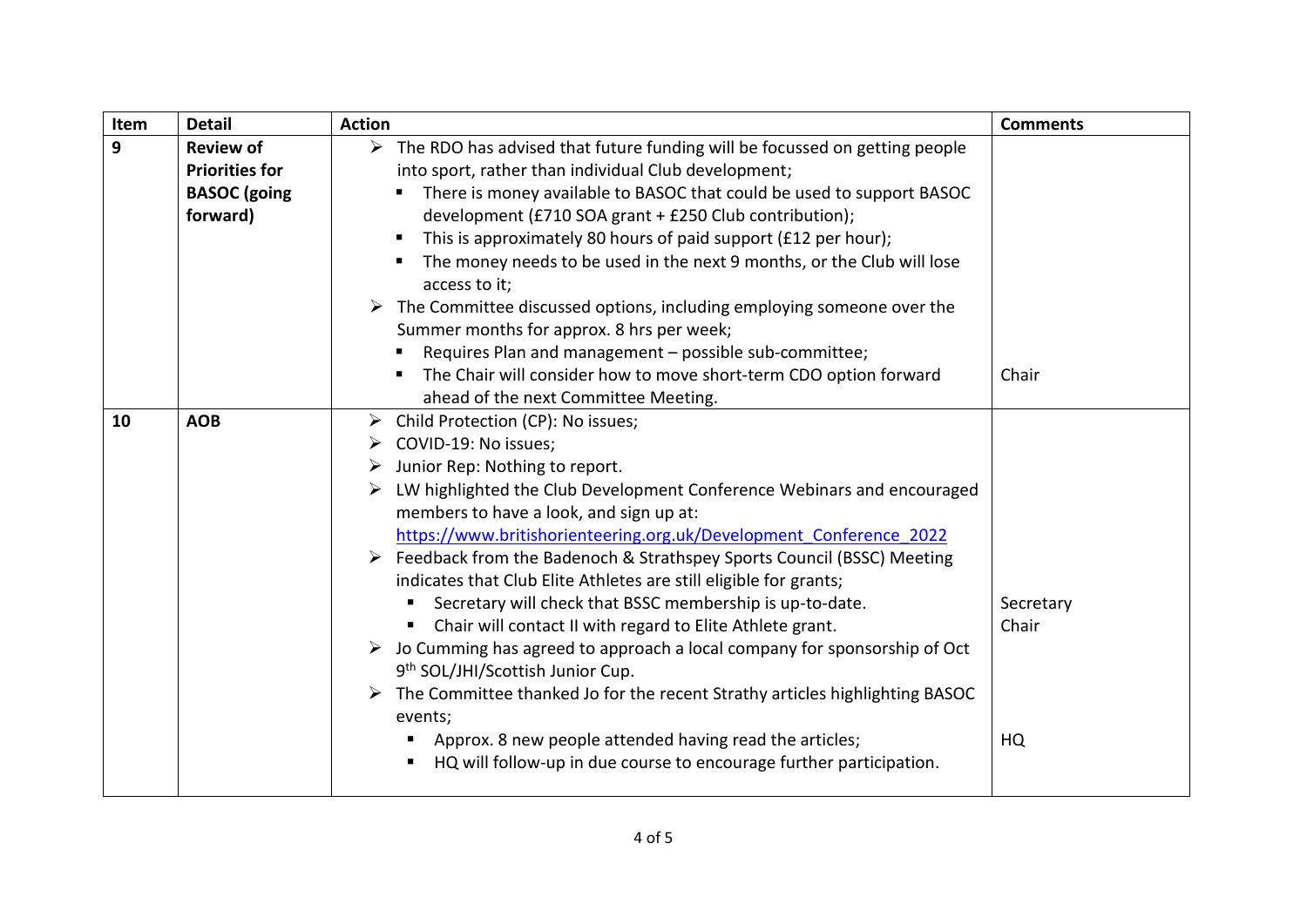| Item                  | <b>Detail</b>                                                                                                   | <b>Action</b>                                                                                           | <b>Comments</b> |
|-----------------------|-----------------------------------------------------------------------------------------------------------------|---------------------------------------------------------------------------------------------------------|-----------------|
| 9                     | $\triangleright$ The RDO has advised that future funding will be focussed on getting people<br><b>Review of</b> |                                                                                                         |                 |
| <b>Priorities for</b> |                                                                                                                 | into sport, rather than individual Club development;                                                    |                 |
|                       | <b>BASOC</b> (going                                                                                             | There is money available to BASOC that could be used to support BASOC<br>п                              |                 |
| forward)              |                                                                                                                 | development (£710 SOA grant + £250 Club contribution);                                                  |                 |
|                       |                                                                                                                 | This is approximately 80 hours of paid support (£12 per hour);<br>п                                     |                 |
|                       |                                                                                                                 | The money needs to be used in the next 9 months, or the Club will lose<br>access to it;                 |                 |
|                       |                                                                                                                 | $\triangleright$ The Committee discussed options, including employing someone over the                  |                 |
|                       |                                                                                                                 | Summer months for approx. 8 hrs per week;                                                               |                 |
|                       |                                                                                                                 | Requires Plan and management - possible sub-committee;                                                  |                 |
|                       |                                                                                                                 | The Chair will consider how to move short-term CDO option forward                                       | Chair           |
|                       |                                                                                                                 | ahead of the next Committee Meeting.                                                                    |                 |
| 10                    | <b>AOB</b>                                                                                                      | Child Protection (CP): No issues;<br>➤                                                                  |                 |
|                       |                                                                                                                 | COVID-19: No issues;<br>➤                                                                               |                 |
|                       | Junior Rep: Nothing to report.<br>➤                                                                             |                                                                                                         |                 |
|                       | LW highlighted the Club Development Conference Webinars and encouraged                                          |                                                                                                         |                 |
|                       | members to have a look, and sign up at:                                                                         |                                                                                                         |                 |
|                       | https://www.britishorienteering.org.uk/Development Conference 2022                                              |                                                                                                         |                 |
|                       | ▶ Feedback from the Badenoch & Strathspey Sports Council (BSSC) Meeting                                         |                                                                                                         |                 |
|                       |                                                                                                                 | indicates that Club Elite Athletes are still eligible for grants;                                       |                 |
|                       | Secretary will check that BSSC membership is up-to-date.                                                        |                                                                                                         | Secretary       |
|                       | Chair will contact II with regard to Elite Athlete grant.                                                       |                                                                                                         | Chair           |
|                       | $\triangleright$ Jo Cumming has agreed to approach a local company for sponsorship of Oct                       |                                                                                                         |                 |
|                       |                                                                                                                 | 9 <sup>th</sup> SOL/JHI/Scottish Junior Cup.                                                            |                 |
|                       |                                                                                                                 | $\triangleright$ The Committee thanked Jo for the recent Strathy articles highlighting BASOC<br>events; |                 |
|                       |                                                                                                                 | Approx. 8 new people attended having read the articles;<br>п.                                           | HQ              |
|                       |                                                                                                                 | HQ will follow-up in due course to encourage further participation.                                     |                 |
|                       |                                                                                                                 |                                                                                                         |                 |